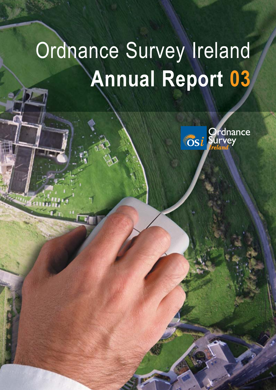# Ordnance Survey Ireland **Annual Report 03**

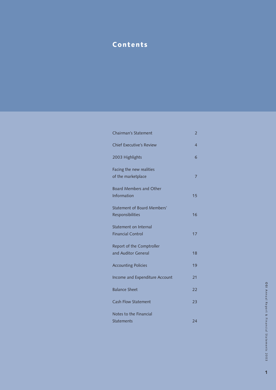# Contents

| <b>Chairman's Statement</b>                            | 2  |
|--------------------------------------------------------|----|
| <b>Chief Executive's Review</b>                        | 4  |
| 2003 Highlights                                        | 6  |
| Facing the new realities<br>of the marketplace         | 7  |
| <b>Board Members and Other</b><br>Information          | 15 |
| <b>Statement of Board Members'</b><br>Responsibilities | 16 |
| Statement on Internal<br><b>Financial Control</b>      | 17 |
| Report of the Comptroller<br>and Auditor General       | 18 |
| <b>Accounting Policies</b>                             | 19 |
| Income and Expenditure Account                         | 21 |
| <b>Balance Sheet</b>                                   | 22 |
| <b>Cash Flow Statement</b>                             | 23 |
| Notes to the Financial<br><b>Statements</b>            | 24 |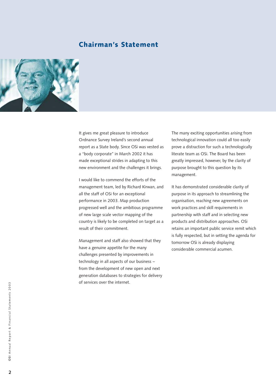# Chairman's Statement



It gives me great pleasure to introduce Ordnance Survey Ireland's second annual report as a State body. Since OSi was vested as a "body corporate" in March 2002 it has made exceptional strides in adapting to this new environment and the challenges it brings.

I would like to commend the efforts of the management team, led by Richard Kirwan, and all the staff of OSi for an exceptional performance in 2003. Map production progressed well and the ambitious programme of new large scale vector mapping of the country is likely to be completed on target as a result of their commitment.

Management and staff also showed that they have a genuine appetite for the many challenges presented by improvements in technology in all aspects of our business – from the development of new open and next generation databases to strategies for delivery of services over the internet.

The many exciting opportunities arising from technological innovation could all too easily prove a distraction for such a technologically literate team as OSi. The Board has been greatly impressed, however, by the clarity of purpose brought to this question by its management.

It has demonstrated considerable clarity of purpose in its approach to streamlining the organisation, reaching new agreements on work practices and skill requirements in partnership with staff and in selecting new products and distribution approaches. OSi retains an important public service remit which is fully respected, but in setting the agenda for tomorrow OSi is already displaying considerable commercial acumen.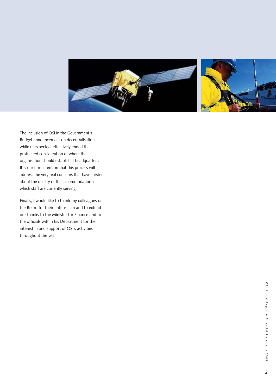

The inclusion of OSi in the Government's Budget announcement on decentralisation, while unexpected, effectively ended the protracted consideration of where the organisation should establish it headquarters. It is our firm intention that this process will address the very real concerns that have existed about the quality of the accommodation in which staff are currently serving.

Finally, I would like to thank my colleagues on the Board for their enthusiasm and to extend our thanks to the Minister for Finance and to the officials within his Department for their interest in and support of OSi's activities throughout the year.

**3**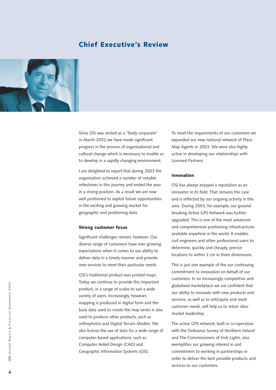# Chief Executive's Review



Since OSi was vested as a "body corporate" in March 2002 we have made significant progress in the process of organisational and cultural change which is necessary to enable us to develop in a rapidly changing environment.

I am delighted to report that during 2003 the organisation achieved a number of notable milestones in this journey and ended the year in a strong position. As a result we are now well positioned to exploit future opportunities in the exciting and growing market for geographic and positioning data.

### Strong customer focus

Significant challenges remain, however. Our diverse range of customers have ever growing expectations when it comes to our ability to deliver data in a timely manner and provide new services to meet their particular needs.

OSi's traditional product was printed maps. Today we continue to provide this important product, in a range of scales to suit a wide variety of users. Increasingly, however, mapping is produced in digital form and the base data used to create the map series is also used to produce other products, such as orthophotos and Digital Terrain Models. We also license the use of data for a wide range of computer-based applications, such as Computer Aided Design (CAD) and Geographic Information Systems (GIS).

To meet the requirements of our customers we expanded our new national network of Place Map Agents in 2003. We were also highly active in developing our relationships with Licensed Partners.

### Innovation

OSi has always enjoyed a reputation as an innovator in its field. That remains the case and is reflected by our ongoing activity in this area. During 2003, for example, our groundbreaking Active GPS Network was further upgraded. This is one of the most advanced and comprehensive positioning infrastructures available anywhere in the world. It enables civil engineers and other professional users to determine, quickly and cheaply, precise locations to within 2 cm in three dimensions.

This is just one example of the our continuing commitment to innovation on behalf of our customers. In an increasingly competitive and globalised marketplace we are confident that our ability to innovate with new products and services, as well as to anticipate and meet customer needs, will help us to retain clear market leadership.

The active GPS network, built in co-operation with the Ordnance Survey of Northern Ireland and The Commissioners of Irish Lights, also exemplifies our growing interest in and commitment to working in partnerships in order to deliver the best possible products and services to our customers.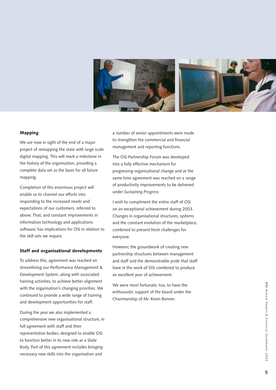

### Mapping

We are now in sight of the end of a major project of remapping the state with large scale digital mapping. This will mark a milestone in the history of the organisation, providing a complete data set as the basis for all future mapping.

Completion of this enormous project will enable us to channel our efforts into responding to the increased needs and expectations of our customers. referred to above. That, and constant improvements in information technology and applications software, has implications for OSi in relation to the skill sets we require.

### Staff and organisational developments

To address this, agreement was reached on streamlining our Performance Management & Development System, along with associated training activities, to achieve better alignment with the organisation's changing priorities. We continued to provide a wide range of training and development opportunities for staff.

During the year we also implemented a comprehensive new organisational structure, in full agreement with staff and their representative bodies, designed to enable OSi to function better in its new role as a State Body. Part of this agreement includes bringing necessary new skills into the organisation and

a number of senior appointments were made to strengthen the commercial and financial management and reporting functions.

The OSi Partnership Forum was developed into a fully effective mechanism for progressing organisational change and at the same time agreement was reached on a range of productivity improvements to be delivered under *Sustaining Progress.*

I wish to compliment the entire staff of OSi on an exceptional achievement during 2003. Changes in organisational structures, systems and the constant evolution of the marketplace, combined to present fresh challenges for everyone.

However, the groundwork of creating new partnership structures between management and staff and the demonstrable pride that staff have in the work of OSi combined to produce an excellent year of achievement.

We were most fortunate, too, to have the enthusiastic support of the board under the Chairmanship of Mr. Kevin Bonner.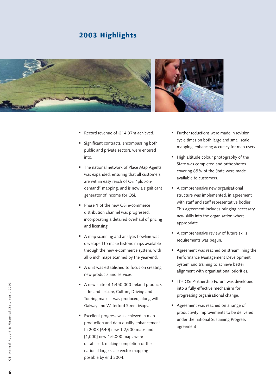# 2003 Highlights



- -Record revenue of €14.97m achieved.
- - Significant contracts, encompassing both public and private sectors, were entered into.
- **The national network of Place Map Agents** was expanded, ensuring that all customers are within easy reach of OSi "plot-ondemand" mapping, and is now a significant generator of income for OSi.
- Phase 1 of the new OSi e-commerce distribution channel was progressed, incorporating a detailed overhaul of pricing and licensing.
- A map scanning and analysis flowline was developed to make historic maps available through the new e-commerce system, with all 6 inch maps scanned by the year-end.
- A unit was established to focus on creating new products and services.
- A new suite of 1:450 000 Ireland products – Ireland Leisure, Culture, Driving and Touring maps – was produced, along with Galway and Waterford Street Maps.
- Excellent progress was achieved in map production and data quality enhancement. In 2003 [640] new 1:2,500 maps and [1,000] new 1:5,000 maps were databased, making completion of the national large scale vector mapping possible by end 2004.
- **Further reductions were made in revision** cycle times on both large and small scale mapping, enhancing accuracy for map users.
- High altitude colour photography of the State was completed and orthophotos covering 85% of the State were made available to customers.
- A comprehensive new organisational structure was implemented, in agreement with staff and staff representative bodies. This agreement includes bringing necessary new skills into the organisation where appropriate.
- **A** comprehensive review of future skills requirements was begun.
- Agreement was reached on streamlining the Performance Management Development System and training to achieve better alignment with organisational priorities.
- The OSi Partnership Forum was developed into a fully effective mechanism for progressing organisational change.
- Agreement was reached on a range of productivity improvements to be delivered under the national Sustaining Progress agreement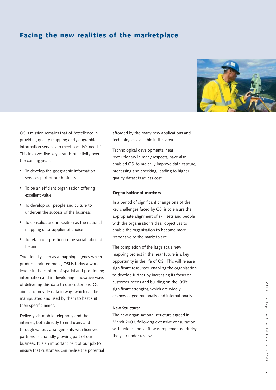# Facing the new realities of the marketplace



OSi's mission remains that of "excellence in providing quality mapping and geographic information services to meet society's needs". This involves five key strands of activity over the coming years:

- $\hspace{0.1mm}$  To develop the geographic information services part of our business
- $\hspace{0.1mm}$  To be an efficient organisation offering excellent value
- To develop our people and culture to underpin the success of the business
- To consolidate our position as the national mapping data supplier of choice
- $\hspace{0.1mm}$  To retain our position in the social fabric of Ireland

Traditionally seen as a mapping agency which produces printed maps, OSi is today a world leader in the capture of spatial and positioning information and in developing innovative ways of delivering this data to our customers. Our aim is to provide data in ways which can be manipulated and used by them to best suit their specific needs.

Delivery via mobile telephony and the internet, both directly to end users and through various arrangements with licensed partners, is a rapidly growing part of our business. It is an important part of our job to ensure that customers can realise the potential afforded by the many new applications and technologies available in this area.

Technological developments, near revolutionary in many respects, have also enabled OSi to radically improve data capture, processing and checking, leading to higher quality datasets at less cost.

### Organisational matters

In a period of significant change one of the key challenges faced by OSi is to ensure the appropriate alignment of skill sets and people with the organisation's clear objectives to enable the organisation to become more responsive to the marketplace.

The completion of the large scale new mapping project in the near future is a key opportunity in the life of OSi. This will release significant resources, enabling the organisation to develop further by increasing its focus on customer needs and building on the OSi's significant strengths, which are widely acknowledged nationally and internationally.

### **New Structure:**

The new organisational structure agreed in March 2003, following extensive consultation with unions and staff, was implemented during the year under review.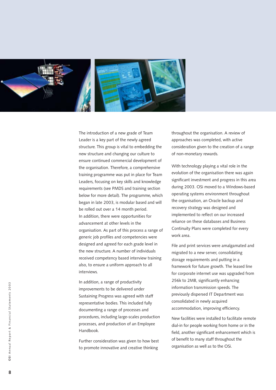

The introduction of a new grade of Team Leader is a key part of the newly agreed structure. This group is vital to embedding the new structure and changing our culture to ensure continued commercial development of the organisation. Therefore, a comprehensive training programme was put in place for Team Leaders, focusing on key skills and knowledge requirements (see PMDS and training section below for more detail). The programme, which began in late 2003, is modular based and will be rolled out over a 14 month period. In addition, there were opportunities for advancement at other levels in the organisation. As part of this process a range of generic job profiles and competencies were designed and agreed for each grade level in the new structure. A number of individuals received competency based interview training also, to ensure a uniform approach to all interviews.

In addition, a range of productivity improvements to be delivered under Sustaining Progress was agreed with staff representative bodies. This included fully documenting a range of processes and procedures, including large-scales production processes, and production of an Employee Handbook.

Further consideration was given to how best to promote innovative and creative thinking

throughout the organisation. A review of approaches was completed, with active consideration given to the creation of a range of non-monetary rewards.

With technology playing a vital role in the evolution of the organisation there was again significant investment and progress in this area during 2003. OSi moved to a Windows-based operating systems environment throughout the organisation, an Oracle backup and recovery strategy was designed and implemented to reflect on our increased reliance on these databases and Business Continuity Plans were completed for every work area.

File and print services were amalgamated and migrated to a new server, consolidating storage requirements and putting in a framework for future growth. The leased line for corporate internet use was upgraded from 256k to 2MB, significantly enhancing information transmission speeds. The previously dispersed IT Department was consolidated in newly acquired accommodation, improving efficiency.

New facilities were installed to facilitate remote dial-in for people working from home or in the field, another significant enhancement which is of benefit to many staff throughout the organisation as well as to the OSi.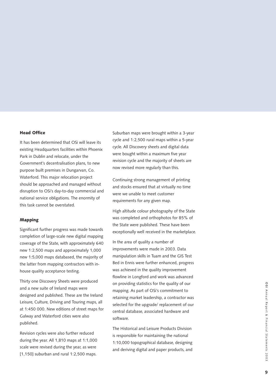### Head Office

It has been determined that OSi will leave its existing Headquarters facilities within Phoenix Park in Dublin and relocate, under the Government's decentralisation plans, to new purpose built premises in Dungarvan, Co. Waterford. This major relocation project should be approached and managed without disruption to OSi's day-to-day commercial and national service obligations. The enormity of this task cannot be overstated.

### Mapping

Significant further progress was made towards completion of large-scale new digital mapping coverage of the State, with approximately 640 new 1:2,500 maps and approximately 1,000 new 1:5,000 maps databased, the majority of the latter from mapping contractors with inhouse quality acceptance testing.

Thirty one Discovery Sheets were produced and a new suite of Ireland maps were designed and published. These are the Ireland Leisure, Culture, Driving and Touring maps, all at 1:450 000. New editions of street maps for Galway and Waterford cities were also published.

Revision cycles were also further reduced during the year. All 1,810 maps at 1:1,000 scale were revised during the year, as were [1,150] suburban and rural 1:2,500 maps.

Suburban maps were brought within a 3-year cycle and 1:2,500 rural maps within a 5-year cycle. All Discovery sheets and digital data were bought within a maximum five year revision cycle and the majority of sheets are now revised more regularly than this.

Continuing strong management of printing and stocks ensured that at virtually no time were we unable to meet customer requirements for any given map.

High altitude colour photography of the State was completed and orthophotos for 85% of the State were published. These have been exceptionally well received in the marketplace.

In the area of quality a number of improvements were made in 2003. Data manipulation skills in Tuam and the GIS Test Bed in Ennis were further enhanced, progress was achieved in the quality improvement flowline in Longford and work was advanced on providing statistics for the quality of our mapping. As part of OSi's commitment to retaining market leadership, a contractor was selected for the upgrade/ replacement of our central database, associated hardware and software.

The Historical and Leisure Products Division is responsible for maintaining the national 1:10,000 topographical database, designing and deriving digital and paper products, and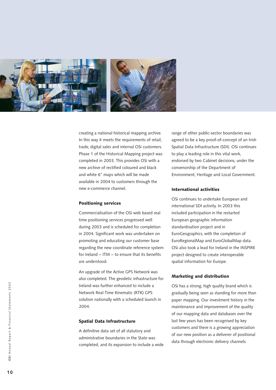

creating a national historical mapping archive. In this way it meets the requirements of retail, trade, digital sales and internal OSi customers. Phase 1 of the Historical Mapping project was completed in 2003. This provides OSi with a new archive of rectified coloured and black and white 6" maps which will be made available in 2004 to customers through the new e-commerce channel.

### Positioning services

Commercialisation of the OSi web based real time positioning services progressed well during 2003 and is scheduled for completion in 2004. Significant work was undertaken on promoting and educating our customer base regarding the new coordinate reference system for Ireland – ITM – to ensure that its benefits are understood.

An upgrade of the Active GPS Network was also completed. The geodetic infrastructure for Ireland was further enhanced to include a Network Real Time Kinematic (RTK) GPS solution nationally with a scheduled launch in 2004.

### Spatial Data Infrastructure

A definitive data set of all statutory and administrative boundaries in the State was completed, and its expansion to include a wide

range of other public-sector boundaries was agreed to be a key proof-of-concept of an Irish Spatial Data Infrastructure (SDI). OSi continues to play a leading role in this vital work, endorsed by two Cabinet decisions, under the convenorship of the Department of Environment, Heritage and Local Government.

### International activities

OSi continues to undertake European and international SDI activity. In 2003 this included participation in the restarted European geographic information standardisation project and in EuroGeographics, with the completion of EuroRegionalMap and EuroGlobalMap data. OSi also took a lead for Ireland in the INSPIRE project designed to create interoperable spatial information for Europe.

### Marketing and distribution

OSi has a strong, high quality brand which is gradually being seen as standing for more than paper mapping. Our investment history in the maintenance and improvement of the quality of our mapping data and databases over the last few years has been recognised by key customers and there is a growing appreciation of our new position as a deliverer of positional data through electronic delivery channels.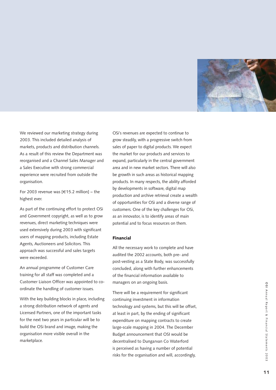

We reviewed our marketing strategy during 2003. This included detailed analysis of markets, products and distribution channels. As a result of this review the Department was reorganised and a Channel Sales Manager and a Sales Executive with strong commercial experience were recruited from outside the organisation.

For 2003 revenue was [ €15.2 million] – the highest ever.

As part of the continuing effort to protect OSi and Government copyright, as well as to grow revenues, direct marketing techniques were used extensively during 2003 with significant users of mapping products, including Estate Agents, Auctioneers and Solicitors. This approach was successful and sales targets were exceeded.

An annual programme of Customer Care training for all staff was completed and a Customer Liaison Officer was appointed to coordinate the handling of customer issues.

With the key building blocks in place, including a strong distribution network of agents and Licensed Partners, one of the important tasks for the next two years in particular will be to build the OSi brand and image, making the organisation more visible overall in the marketplace.

OSi's revenues are expected to continue to grow steadily, with a progressive switch from sales of paper to digital products. We expect the market for our products and services to expand, particularly in the central government area and in new market sectors. There will also be growth in such areas as historical mapping products. In many respects, the ability afforded by developments in software, digital map production and archive retrieval create a wealth of opportunities for OSi and a diverse range of customers. One of the key challenges for OSi, as an innovator, is to identify areas of main potential and to focus resources on them.

### Financial

All the necessary work to complete and have audited the 2002 accounts, both pre- and post-vesting as a State Body, was successfully concluded, along with further enhancements of the financial information available to managers on an ongoing basis.

There will be a requirement for significant continuing investment in information technology and systems, but this will be offset, at least in part, by the ending of significant expenditure on mapping contracts to create large-scale mapping in 2004. The December Budget announcement that OSI would be decentralised to Dungarvan Co Waterford is perceived as having a number of potential risks for the organisation and will, accordingly,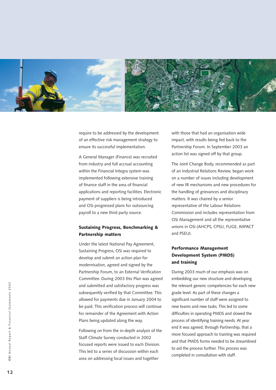

require to be addressed by the development of an effective risk management strategy to ensure its successful implementation.

A General Manager (Finance) was recruited from industry and full accrual accounting within the Financial Integra system was implemented following extensive training of finance staff in the area of financial applications and reporting facilities. Electronic payment of suppliers is being introduced and OSi progressed plans for outsourcing payroll to a new third party source.

### Sustaining Progress, Benchmarking & Partnership matters

Under the latest National Pay Agreement, Sustaining Progress, OSi was required to develop and submit an action plan for modernisation, agreed and signed by the Partnership Forum, to an External Verification Committee. During 2003 this Plan was agreed and submitted and satisfactory progress was subsequently verified by that Committee. This allowed for payments due in January 2004 to be paid. This verification process will continue for remainder of the Agreement with Action Plans being updated along the way.

Following on from the in-depth analysis of the Staff Climate Survey conducted in 2002 focused reports were issued to each Division. This led to a series of discussion within each area on addressing local issues and together

with those that had an organisation wide impact, with results being fed back to the Partnership Forum. In September 2003 an action list was signed off by that group.

The Joint Change Body, recommended as part of an Industrial Relations Review, began work on a number of issues including development of new IR mechanisms and new procedures for the handling of grievances and disciplinary matters. It was chaired by a senior representative of the Labour Relations Commission and includes representation from OSi Management and all the representative unions in OSi (AHCPS, CPSU, FUGE, IMPACT and PSEU).

### Performance Management Development System (PMDS) and training

During 2003 much of our emphasis was on embedding our new structure and developing the relevant generic competencies for each new grade level. As part of these changes a significant number of staff were assigned to new teams and new tasks. This led to some difficulties in operating PMDS and slowed the process of identifying training needs. At year end it was agreed, through Partnership, that a more focused approach to training was required and that PMDS forms needed to be streamlined to aid the process further. This process was completed in consultation with staff.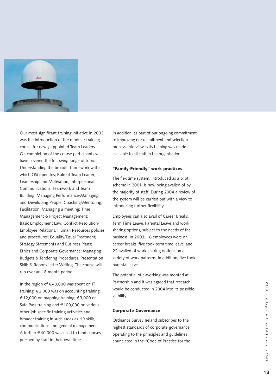

Our most significant training initiative in 2003 was the introduction of the modular training course for newly appointed Team Leaders. On completion of the course participants will have covered the following range of topics: Understanding the broader framework within which OSi operates; Role of Team Leader; Leadership and Motivation; Interpersonal Communications; Teamwork and Team Building; Managing Performance/Managing and Developing People; Coaching/Mentoring; Facilitation; Managing a meeting; Time Management & Project Management; Basic Employment Law; Conflict Resolution/ Employee Relations; Human Resources policies and procedures; Equality/Equal Treatment; Strategy Statements and Business Plans; Ethics and Corporate Governance; Managing Budgets & Tendering Procedures; Presentation Skills & Report/Letter Writing. The course will run over an 18 month period.

In the region of €40,000 was spent on IT training, €3,000 was on accounting training, €12,000 on mapping training, €3,000 on Safe Pass training and €100,000 on various other job specific training activities and broader training in such areas as HR skills, communications and general management. A further €40,000 was used to fund courses pursued by staff in their own time.

In addition, as part of our ongoing commitment to improving our recruitment and selection process, interview skills training was made available to all staff in the organisation.

### "Family-Friendly" work practices

The flexitime system, introduced as a pilot scheme in 2001, is now being availed of by the majority of staff. During 2004 a review of the system will be carried out with a view to introducing further flexibility.

Employees can also avail of Career Breaks, Term Time Leave, Parental Leave and work sharing options, subject to the needs of the business. In 2003, 16 employees were on career breaks, five took term time leave, and 22 availed of work-sharing options on a variety of work patterns. In addition, five took parental leave.

The potential of e-working was mooted at Partnership and it was agreed that research would be conducted in 2004 into its possible viability.

#### Corporate Governance

Ordnance Survey Ireland subscribes to the highest standards of corporate governance, operating to the principles and guidelines enunciated in the "Code of Practice for the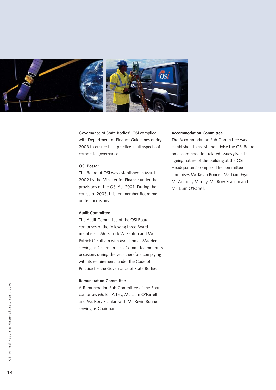

Governance of State Bodies". OSi complied with Department of Finance Guidelines during 2003 to ensure best practice in all aspects of corporate governance.

### **OSi Board:**

The Board of OSi was established in March 2002 by the Minister for Finance under the provisions of the OSi Act 2001. During the course of 2003, this ten member Board met on ten occasions.

### **Audit Committee**

The Audit Committee of the OSi Board comprises of the following three Board members – Mr. Patrick W. Fenton and Mr. Patrick O'Sullivan with Mr. Thomas Madden serving as Chairman. This Committee met on 5 occasions during the year therefore complying with its requirements under the Code of Practice for the Governance of State Bodies.

### **Remuneration Committee**

A Remuneration Sub-Committee of the Board comprises Mr. Bill Attley, Mr. Liam O'Farrell and Mr. Rory Scanlan with Mr. Kevin Bonner serving as Chairman.

### **Accommodation Committee**

The Accommodation Sub-Committee was established to assist and advise the OSi Board on accommodation related issues given the ageing nature of the building at the OSi Headquarters' complex. The committee comprises Mr. Kevin Bonner, Mr. Liam Egan, Mr Anthony Murray, Mr. Rory Scanlan and Mr. Liam O'Farrell.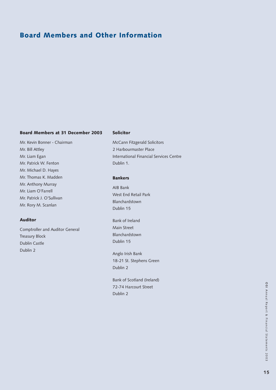# Board Members and Other Information

### Board Members at 31 December 2003

Mr. Kevin Bonner - Chairman Mr. Bill Attley Mr. Liam Egan Mr. Patrick W. Fenton Mr. Michael D. Hayes Mr. Thomas K. Madden Mr. Anthony Murray Mr. Liam O'Farrell Mr. Patrick J. O'Sullivan Mr. Rory M. Scanlan

### Auditor

Comptroller and Auditor General Treasury Block Dublin Castle Dublin 2

### Solicitor

McCann Fitzgerald Solicitors 2 Harbourmaster Place International Financial Services Centre Dublin 1.

### Bankers

AIB Bank West End Retail Park Blanchardstown Dublin 15

Bank of Ireland Main Street Blanchardstown Dublin 15

Anglo Irish Bank 18-21 St. Stephens Green Dublin 2

Bank of Scotland (Ireland) 72-74 Harcourt Street Dublin 2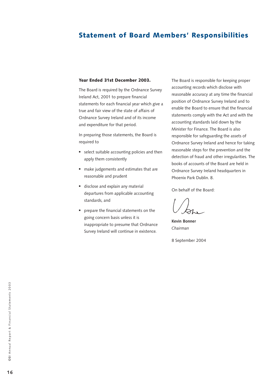# Statement of Board Members' Responsibilities

### Year Ended 31st December 2003.

The Board is required by the Ordnance Survey Ireland Act, 2001 to prepare financial statements for each financial year which give a true and fair view of the state of affairs of Ordnance Survey Ireland and of its income and expenditure for that period.

In preparing those statements, the Board is required to

- select suitable accounting policies and then apply them consistently
- $-$  make judgements and estimates that are reasonable and prudent
- $\hspace{0.1mm}$  disclose and explain any material departures from applicable accounting standards, and
- $\hspace{0.1mm}$  prepare the financial statements on the going concern basis unless it is inappropriate to presume that Ordnance Survey Ireland will continue in existence.

The Board is responsible for keeping proper accounting records which disclose with reasonable accuracy at any time the financial position of Ordnance Survey Ireland and to enable the Board to ensure that the financial statements comply with the Act and with the accounting standards laid down by the Minister for Finance. The Board is also responsible for safeguarding the assets of Ordnance Survey Ireland and hence for taking reasonable steps for the prevention and the detection of fraud and other irregularities. The books of accounts of the Board are held in Ordnance Survey Ireland headquarters in Phoenix Park Dublin. 8.

On behalf of the Board:

**Kevin Bonner** *Chairman*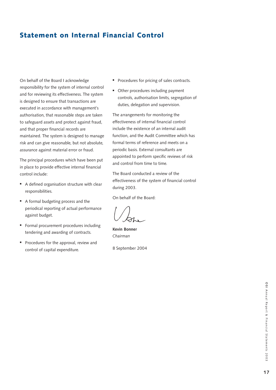# Statement on Internal Financial Control

On behalf of the Board I acknowledge responsibility for the system of internal control and for reviewing its effectiveness. The system is designed to ensure that transactions are executed in accordance with management's authorisation, that reasonable steps are taken to safeguard assets and protect against fraud, and that proper financial records are maintained. The system is designed to manage risk and can give reasonable, but not absolute, assurance against material error or fraud.

The principal procedures which have been put in place to provide effective internal financial control include:

- A defined organisation structure with clear responsibilities.
- A formal budgeting process and the periodical reporting of actual performance against budget.
- Formal procurement procedures including tendering and awarding of contracts.
- Procedures for the approval, review and control of capital expenditure.
- Procedures for pricing of sales contracts.
- **•** Other procedures including payment controls, authorisation limits, segregation of duties, delegation and supervision.

The arrangements for monitoring the effectiveness of internal financial control include the existence of an internal audit function, and the Audit Committee which has formal terms of reference and meets on a periodic basis. External consultants are appointed to perform specific reviews of risk and control from time to time.

The Board conducted a review of the effectiveness of the system of financial control during 2003.

On behalf of the Board:

**Kevin Bonner** *Chairman*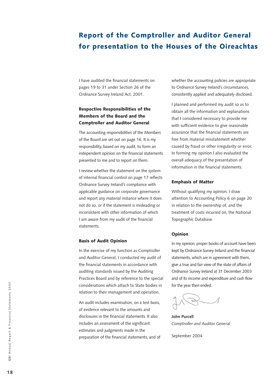# Report of the Comptroller and Auditor General for presentation to the Houses of the Oireachtas

I have audited the financial statements on pages 19 to 31 under Section 26 of the Ordnance Survey Ireland Act, 2001.

### Respective Responsibilities of the Members of the Board and the Comptroller and Auditor General

The accounting responsibilities of the Members of the Board are set out on page 16. It is my responsibility, based on my audit, to form an independent opinion on the financial statements presented to me and to report on them.

I review whether the statement on the system of internal financial control on page 17 reflects Ordnance Survey Ireland's compliance with applicable guidance on corporate governance and report any material instance where it does not do so, or if the statement is misleading or inconsistent with other information of which I am aware from my audit of the financial statements.

### Basis of Audit Opinion

In the exercise of my function as Comptroller and Auditor General, I conducted my audit of the financial statements in accordance with auditing standards issued by the Auditing Practices Board and by reference to the special considerations which attach to State bodies in relation to their management and operation.

An audit includes examination, on a test basis, of evidence relevant to the amounts and disclosures in the financial statements. It also includes an assessment of the significant estimates and judgments made in the preparation of the financial statements, and of whether the accounting policies are appropriate to Ordnance Survey Ireland's circumstances, consistently applied and adequately disclosed.

I planned and performed my audit so as to obtain all the information and explanations that I considered necessary to provide me with sufficient evidence to give reasonable assurance that the financial statements are free from material misstatement whether caused by fraud or other irregularity or error. In forming my opinion I also evaluated the overall adequacy of the presentation of information in the financial statements.

### Emphasis of Matter

Without qualifying my opinion, I draw attention to Accounting Policy 6 on page 20 in relation to the ownership of, and the treatment of costs incurred on, the National Topographic Database.

### Opinion

In my opinion, proper books of account have been kept by Ordnance Survey Ireland and the financial statements, which are in agreement with them, give a true and fair view of the state of affairs of Ordnance Survey Ireland at 31 December 2003 and of its income and expenditure and cash flow for the year then ended.

**John Purcell**  *Comptroller and Auditor General*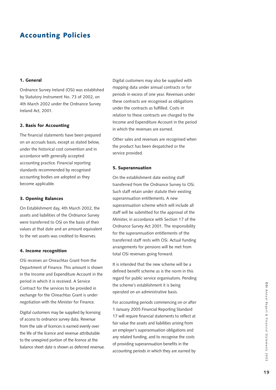# Accounting Policies

### 1. General

Ordnance Survey Ireland (OSi) was established by Statutory Instrument No. 73 of 2002, on 4th March 2002 under the Ordnance Survey Ireland Act, 2001.

### 2. Basis for Accounting

The financial statements have been prepared on an accruals basis, except as stated below, under the historical cost convention and in accordance with generally accepted accounting practice. Financial reporting standards recommended by recognised accounting bodies are adopted as they become applicable.

### 3. Opening Balances

On Establishment day, 4th March 2002, the assets and liabilities of the Ordnance Survey were transferred to OSi on the basis of their values at that date and an amount equivalent to the net assets was credited to Reserves.

### 4. Income recognition

OSi receives an Oireachtas Grant from the Department of Finance. This amount is shown in the Income and Expenditure Account in the period in which it is received. A Service Contract for the services to be provided in exchange for the Oireachtas Grant is under negotiation with the Minister for Finance.

Digital customers may be supplied by licensing of access to ordnance survey data. Revenue from the sale of licences is earned evenly over the life of the licence and revenue attributable to the unexpired portion of the licence at the balance sheet date is shown as deferred revenue. Digital customers may also be supplied with mapping data under annual contracts or for periods in excess of one year. Revenues under these contracts are recognised as obligations under the contracts as fulfilled. Costs in relation to these contracts are charged to the Income and Expenditure Account in the period in which the revenues are earned.

Other sales and revenues are recognised when the product has been despatched or the service provided.

#### 5. Superannuation

On the establishment date existing staff transferred from the Ordnance Survey to OSi. Such staff retain under statute their existing superannuation entitlements. A new superannuation scheme which will include all staff will be submitted for the approval of the Minister, in accordance with Section 17 of the Ordnance Survey Act 2001. The responsibility for the superannuation entitlements of the transferred staff rests with OSi. Actual funding arrangements for pensions will be met from total OSi revenues going forward.

It is intended that the new scheme will be a defined benefit scheme as is the norm in this regard for public service organisatons. Pending the scheme's establishment it is being operated on an administrative basis.

For accounting periods commencing on or after 1 January 2005 Financial Reporting Standard 17 will require financial statements to reflect at fair value the assets and liabilities arising from an employer's superannuation obligations and any related funding, and to recognise the costs of providing superannuation benefits in the accounting periods in which they are earned by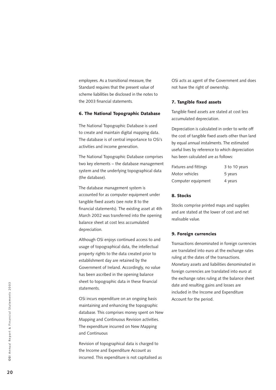employees. As a transitional measure, the Standard requires that the present value of scheme liabilities be disclosed in the notes to the 2003 financial statements.

### 6. The National Topographic Database

The National Topographic Database is used to create and maintain digital mapping data. The database is of central importance to OSi's activities and income generation.

The National Topographic Database comprises two key elements – the database management system and the underlying topographical data (the database).

The database management system is accounted for as computer equipment under tangible fixed assets (see note 8 to the financial statements). The existing asset at 4th March 2002 was transferred into the opening balance sheet at cost less accumulated depreciation.

Although OSi enjoys continued access to and usage of topographical data, the intellectual property rights to the data created prior to establishment day are retained by the Government of Ireland. Accordingly, no value has been ascribed in the opening balance sheet to topographic data in these financial statements.

OSi incurs expenditure on an ongoing basis maintaining and enhancing the topographic database. This comprises money spent on New Mapping and Continuous Revision activities. The expenditure incurred on New Mapping and Continuous

Revision of topographical data is charged to the Income and Expenditure Account as incurred. This expenditure is not capitalised as OSi acts as agent of the Government and does not have the right of ownership.

#### 7. Tangible fixed assets

Tangible fixed assets are stated at cost less accumulated depreciation.

Depreciation is calculated in order to write off the cost of tangible fixed assets other than land by equal annual instalments. The estimated useful lives by reference to which depreciation has been calculated are as follows:

| <b>Fixtures and fittings</b> | 3 to 10 years |
|------------------------------|---------------|
| Motor vehicles               | 5 years       |
| Computer equipment           | 4 years       |

### 8. Stocks

Stocks comprise printed maps and supplies and are stated at the lower of cost and net realisable value.

#### 9. Foreign currencies

Transactions denominated in foreign currencies are translated into euro at the exchange rates ruling at the dates of the transactions. Monetary assets and liabilities denominated in foreign currencies are translated into euro at the exchange rates ruling at the balance sheet date and resulting gains and losses are included in the Income and Expenditure Account for the period.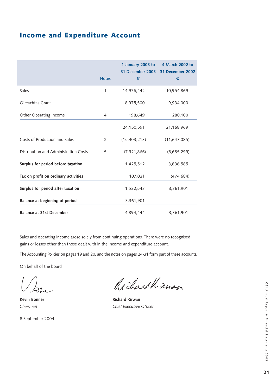# Income and Expenditure Account

|                                       | <b>Notes</b>   | 1 January 2003 to<br>31 December 2003<br>€ | 4 March 2002 to<br>31 December 2002<br>€ |
|---------------------------------------|----------------|--------------------------------------------|------------------------------------------|
| Sales                                 | 1              | 14,976,442                                 | 10,954,869                               |
| Oireachtas Grant                      |                | 8,975,500                                  | 9,934,000                                |
| Other Operating Income                | 4              | 198,649                                    | 280,100                                  |
|                                       |                | 24,150,591                                 | 21,168,969                               |
| Costs of Production and Sales         | $\overline{2}$ | (15, 403, 213)                             | (11, 647, 085)                           |
| Distribution and Administration Costs | 5              | (7,321,866)                                | (5,685,299)                              |
| Surplus for period before taxation    |                | 1,425,512                                  | 3,836,585                                |
| Tax on profit on ordinary activities  |                | 107,031                                    | (474, 684)                               |
| Surplus for period after taxation     |                | 1,532,543                                  | 3,361,901                                |
| Balance at beginning of period        |                | 3,361,901                                  |                                          |
| <b>Balance at 31st December</b>       |                | 4,894,444                                  | 3,361,901                                |

Sales and operating income arose solely from continuing operations. There were no recognised gains or losses other than those dealt with in the income and expenditure account.

The Accounting Policies on pages 19 and 20, and the notes on pages 24-31 form part of these accounts.

On behalf of the board

Richard Kinwan

**Kevin Bonner Richard Kirwan** *Chairman Chief Executive Officer*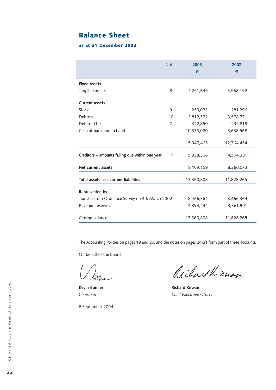# Balance Sheet

### as at 31 December 2003

|                                                 | <b>Notes</b> | 2003<br>€  | 2002<br>€  |
|-------------------------------------------------|--------------|------------|------------|
| <b>Fixed assets</b>                             |              |            |            |
| Tangible assets                                 | 8            | 4,251,649  | 3,568,192  |
| <b>Current assets</b>                           |              |            |            |
| Stock                                           | 9            | 259,023    | 281,296    |
| Debtors                                         | 10           | 3,812,572  | 3,578,771  |
| Deferred tax                                    | 7            | 342,850    | 235,819    |
| Cash at bank and in hand                        |              | 10,633,020 | 8,668,568  |
|                                                 |              | 15,047,465 | 12,764,454 |
| Creditors - amounts falling due within one year | 11           | 5,938,306  | 4,504,381  |
| Net current assets                              |              | 9,109,159  | 8,260,073  |
| Total assets less current liabilities           |              | 13,360,808 | 11,828,265 |
| Represented by:                                 |              |            |            |
| Transfer from Ordnance Survey on 4th March 2002 |              | 8,466,364  | 8,466,364  |
| Revenue reserves                                |              | 4,894,444  | 3,361,901  |
| Closing balance                                 |              | 13,360,808 | 11,828,265 |

The Accounting Policies on pages 19 and 20, and the notes on pages 24-31 form part of these accounts.

On behalf of the board

Richard Kinwan

**Kevin Bonner Richard Kirwan** *Chairman Chief Executive Officer*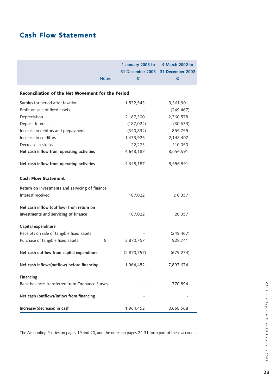# Cash Flow Statement

|                                                   |              | 1 January 2003 to<br><b>31 December 2003</b> | 4 March 2002 to<br>31 December 2002 |
|---------------------------------------------------|--------------|----------------------------------------------|-------------------------------------|
|                                                   | <b>Notes</b> | €                                            | €                                   |
| Reconciliation of the Net Movement for the Period |              |                                              |                                     |
| Surplus for period after taxation                 |              | 1,532,543                                    | 3,361,901                           |
| Profit on sale of fixed assets                    |              |                                              | (249, 467)                          |
| Depreciation                                      |              | 2,187,300                                    | 2,360,578                           |
| Deposit Interest                                  |              | (187, 022)                                   | (30, 633)                           |
| Increase in debtors and prepayments               |              | (340, 832)                                   | 855,755                             |
| Increase in creditors                             |              | 1,433,925                                    | 2,148,407                           |
| Decrease in stocks                                |              | 22,273                                       | 110,050                             |
| Net cash inflow from operating activities         |              | 4,648,187                                    | 8,556,591                           |
| Net cash inflow from operating activities         |              | 4,648,187                                    | 8,556,591                           |
| <b>Cash Flow Statement</b>                        |              |                                              |                                     |
| Return on investments and servicing of finance    |              |                                              |                                     |
| Interest received                                 |              | 187,022                                      | 20,357                              |
| Net cash inflow (outflow) from return on          |              |                                              |                                     |
| investments and servicing of finance              |              | 187,022                                      | 20,357                              |
| Capital expenditure                               |              |                                              |                                     |
| Receipts on sale of tangible fixed assets         |              |                                              | (249, 467)                          |
| Purchase of tangible fixed assets                 | 8            | 2,870,757                                    | 928,741                             |
| Net cash outflow from capital expenditure         |              | (2,870,757)                                  | (679, 274)                          |
| Net cash inflow/(outflow) before financing        |              | 1,964,452                                    | 7,897,674                           |
| <b>Financing</b>                                  |              |                                              |                                     |
| Bank balances transferred from Ordnance Survey    |              |                                              | 770,894                             |
| Net cash (outflow)/inflow from financing          |              |                                              |                                     |
| Increase/(decrease) in cash                       |              | 1,964,452                                    | 8,668,568                           |

The Accounting Policies on pages 19 and 20, and the notes on pages 24-31 form part of these accounts.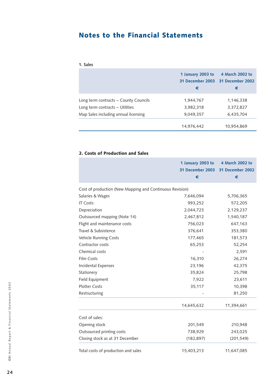# Notes to the Financial Statements

| . .<br>ı<br>w<br>× |  |
|--------------------|--|
|--------------------|--|

|                                       | 1 January 2003 to<br>€ | 4 March 2002 to<br>31 December 2003 31 December 2002<br>€ |
|---------------------------------------|------------------------|-----------------------------------------------------------|
| Long term contracts - County Councils | 1,944,767              | 1,146,338                                                 |
| Long term contracts - Utilities       | 3,982,318              | 3,372,827                                                 |
| Map Sales including annual licensing  | 9,049,357              | 6,435,704                                                 |
|                                       | 14,976,442             | 10,954,869                                                |

### 2. Costs of Production and Sales

|                                                          | 1 January 2003 to<br>€ | 4 March 2002 to<br>31 December 2003 31 December 2002<br>€ |
|----------------------------------------------------------|------------------------|-----------------------------------------------------------|
|                                                          |                        |                                                           |
| Cost of production (New Mapping and Continuous Revision) |                        |                                                           |
| Salaries & Wages                                         | 7,646,094              | 5,706,365                                                 |
| <b>IT Costs</b>                                          | 993,252                | 572,205                                                   |
| Depreciation                                             | 2,044,723              | 2,129,237                                                 |
| Outsourced mapping (Note 14)                             | 2,467,812              | 1,540,187                                                 |
| Flight and maintenance costs                             | 756,023                | 647,163                                                   |
| Travel & Subsistence                                     | 376,641                | 353,380                                                   |
| Vehicle Running Costs                                    | 177,465                | 181,573                                                   |
| Contractor costs                                         | 65,253                 | 52,254                                                    |
| Chemical costs                                           |                        | 2,591                                                     |
| Film Costs                                               | 16,310                 | 26,274                                                    |
| Incidental Expenses                                      | 23,196                 | 42,375                                                    |
| Stationery                                               | 35,824                 | 25,798                                                    |
| Field Equipment                                          | 7,922                  | 23,611                                                    |
| <b>Plotter Costs</b>                                     | 35,117                 | 10,398                                                    |
| Restructuring                                            |                        | 81,250                                                    |
|                                                          | 14,645,632             | 11,394,661                                                |
| Cost of sales:                                           |                        |                                                           |
| Opening stock                                            | 201,549                | 210,948                                                   |
| Outsourced printing costs                                | 738,929                | 243,025                                                   |
| Closing stock as at 31 December                          | (182, 897)             | (201, 549)                                                |
| Total costs of production and sales                      | 15,403,213             | 11,647,085                                                |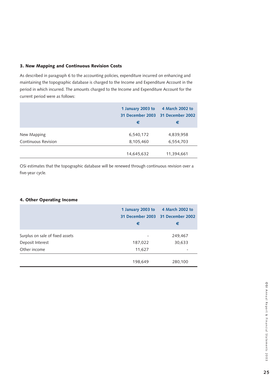### 3. New Mapping and Continuous Revision Costs

As described in paragraph 6 to the accounting policies, expenditure incurred on enhancing and maintaining the topographic database is charged to the Income and Expenditure Account in the period in which incurred. The amounts charged to the Income and Expenditure Account for the current period were as follows:

|                            | 1 January 2003 to<br>€ | 4 March 2002 to<br>31 December 2003 31 December 2002<br>€ |
|----------------------------|------------------------|-----------------------------------------------------------|
| New Mapping                | 6,540,172              | 4,839,958                                                 |
| <b>Continuous Revision</b> | 8,105,460              | 6,554,703                                                 |
|                            | 14,645,632             | 11,394,661                                                |

OSi estimates that the topographic database will be renewed through continuous revision over a five-year cycle.

### 4. Other Operating Income

|                                 | 1 January 2003 to<br>€ | 4 March 2002 to<br>31 December 2003 31 December 2002<br>€ |
|---------------------------------|------------------------|-----------------------------------------------------------|
| Surplus on sale of fixed assets |                        | 249,467                                                   |
| Deposit Interest                | 187,022                | 30,633                                                    |
| Other income                    | 11,627                 | $\qquad \qquad \blacksquare$                              |
|                                 | 198,649                | 280,100                                                   |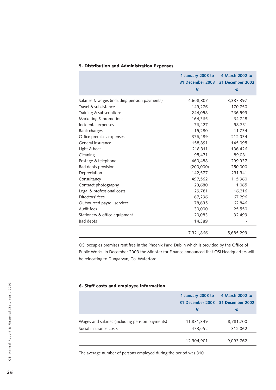|                                               | 1 January 2003 to<br>€ | 4 March 2002 to<br>31 December 2003 31 December 2002<br>€ |
|-----------------------------------------------|------------------------|-----------------------------------------------------------|
| Salaries & wages (including pension payments) | 4,658,807              | 3,387,397                                                 |
| Travel & subsistence                          | 149,276                | 170,750                                                   |
| Training & subscriptions                      | 244,058                | 266,593                                                   |
| Marketing & promotions                        | 164,365                | 64,748                                                    |
| Incidental expenses                           | 76,427                 | 98,731                                                    |
| <b>Bank charges</b>                           | 15,280                 | 11,734                                                    |
| Office premises expenses                      | 376,489                | 212,034                                                   |
| General insurance                             | 158,891                | 145,095                                                   |
| Light & heat                                  | 218,311                | 136,426                                                   |
| Cleaning                                      | 95,471                 | 89,081                                                    |
| Postage & telephone                           | 460,488                | 299,937                                                   |
| Bad debts provision                           | (200,000)              | 250,000                                                   |
| Depreciation                                  | 142,577                | 231,341                                                   |
| Consultancy                                   | 497,562                | 115,960                                                   |
| Contract photography                          | 23,680                 | 1,065                                                     |
| Legal & professional costs                    | 29,781                 | 16,216                                                    |
| Directors' fees                               | 67,296                 | 67,296                                                    |
| Outsourced payroll services                   | 78,635                 | 62,846                                                    |
| Audit fees                                    | 30,000                 | 25,550                                                    |
| Stationery & office equipment                 | 20,083                 | 32,499                                                    |
| <b>Bad debts</b>                              | 14,389                 |                                                           |
|                                               | 7,321,866              | 5,685,299                                                 |

### 5. Distribution and Administration Expenses

OSi occupies premises rent free in the Phoenix Park, Dublin which is provided by the Office of Public Works. In December 2003 the Minister for Finance announced that OSi Headquarters will be relocating to Dungarvan, Co. Waterford.

### 6. Staff costs and employee information

|                                                 | 1 January 2003 to | 4 March 2002 to                   |
|-------------------------------------------------|-------------------|-----------------------------------|
|                                                 |                   | 31 December 2003 31 December 2002 |
|                                                 | €                 | €                                 |
| Wages and salaries (including pension payments) | 11,831,349        | 8,781,700                         |
| Social insurance costs                          | 473,552           | 312,062                           |
|                                                 | 12,304,901        | 9,093,762                         |

The average number of persons employed during the period was 310.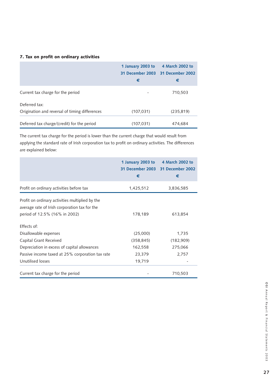### 7. Tax on profit on ordinary activities

|                                                                 | 1 January 2003 to<br>€ | 4 March 2002 to<br>31 December 2003 31 December 2002<br>€ |
|-----------------------------------------------------------------|------------------------|-----------------------------------------------------------|
| Current tax charge for the period                               |                        | 710,503                                                   |
| Deferred tax:<br>Origination and reversal of timing differences | (107, 031)             | (235, 819)                                                |
| Deferred tax charge/(credit) for the period                     | (107, 031)             | 474,684                                                   |

The current tax charge for the period is lower than the current charge that would result from applying the standard rate of Irish corporation tax to profit on ordinary activities. The differences are explained below:

|                                                                                                                                   | 1 January 2003 to<br>€ | 4 March 2002 to<br>31 December 2003 31 December 2002<br>€ |
|-----------------------------------------------------------------------------------------------------------------------------------|------------------------|-----------------------------------------------------------|
| Profit on ordinary activities before tax                                                                                          | 1,425,512              | 3,836,585                                                 |
| Profit on ordinary activities multiplied by the<br>average rate of Irish corporation tax for the<br>period of 12.5% (16% in 2002) | 178,189                | 613,854                                                   |
| <b>Effects of:</b><br>Disallowable expenses                                                                                       | (25,000)               | 1,735                                                     |
| Capital Grant Received                                                                                                            | (358, 845)             | (182,909)                                                 |
| Depreciation in excess of capital allowances                                                                                      | 162,558                | 275,066                                                   |
| Passive income taxed at 25% corporation tax rate                                                                                  | 23,379                 | 2,757                                                     |
| Unutilised losses                                                                                                                 | 19,719                 |                                                           |
| Current tax charge for the period                                                                                                 |                        | 710,503                                                   |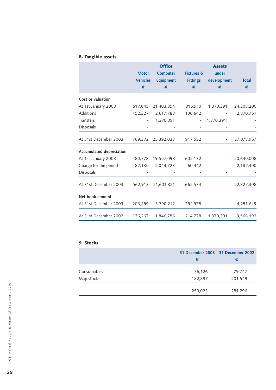## 8. Tangible assets

|                          | <b>Motor</b><br><b>Vehicles</b><br>€ | <b>Office</b><br><b>Computer</b><br><b>Equipment</b><br>€ | <b>Fixtures &amp;</b><br><b>Fittings</b><br>€ | <b>Assets</b><br>under<br>development<br>€ | <b>Total</b><br>€ |
|--------------------------|--------------------------------------|-----------------------------------------------------------|-----------------------------------------------|--------------------------------------------|-------------------|
| Cost or valuation        |                                      |                                                           |                                               |                                            |                   |
| At 1st January 2003      |                                      | 617,045 21,403,854                                        | 816,910                                       | 1,370,391                                  | 24,208,200        |
| Additions                | 152,327                              | 2,617,788                                                 | 100,642                                       |                                            | 2,870,757         |
| <b>Transfers</b>         |                                      | 1,370,391                                                 |                                               | $-$ (1,370,391)                            |                   |
| Disposals                |                                      |                                                           |                                               |                                            |                   |
| At 31st December 2003    |                                      | 769,372 25,392,033                                        | 917,552                                       |                                            | 27,078,957        |
| Accumulated depreciation |                                      |                                                           |                                               |                                            |                   |
| At 1st January 2003      |                                      | 480,778 19,557,098                                        | 602,132                                       |                                            | 20,640,008        |
| Charge for the period    | 82,135                               | 2,044,723                                                 | 60,442                                        |                                            | 2,187,300         |
| Disposals                |                                      |                                                           |                                               |                                            |                   |
| At 31st December 2003    | 562,913                              | 21,601,821                                                | 662,574                                       |                                            | 22,827,308        |
| Net book amount          |                                      |                                                           |                                               |                                            |                   |
| At 31st December 2003    | 206,459                              | 3,790,212                                                 | 254,978                                       |                                            | 4,251,649         |
| At 31st December 2002    | 136,267                              | 1,846,756                                                 | 214,778                                       | 1,370,391                                  | 3,568,192         |

### 9. Stocks

|             | 31 December 2003 31 December 2002<br>€ | €       |
|-------------|----------------------------------------|---------|
| Consumables | 76,126                                 | 79,747  |
| Map stocks  | 182,897                                | 201,549 |
|             | 259,023                                | 281,296 |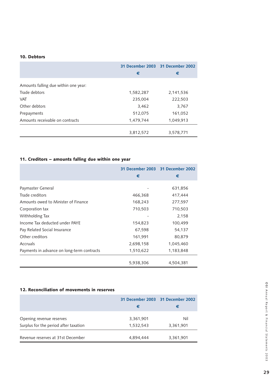### 10. Debtors

|                                      | €         | 31 December 2003 31 December 2002<br>€ |
|--------------------------------------|-----------|----------------------------------------|
|                                      |           |                                        |
| Amounts falling due within one year: |           |                                        |
| Trade debtors                        | 1,582,287 | 2,141,536                              |
| <b>VAT</b>                           | 235,004   | 222,503                                |
| Other debtors                        | 3,462     | 3,767                                  |
| Prepayments                          | 512,075   | 161,052                                |
| Amounts receivable on contracts      | 1,479,744 | 1,049,913                              |
|                                      |           |                                        |
|                                      | 3,812,572 | 3,578,771                              |

### 11. Creditors – amounts falling due within one year

|                                            |           | 31 December 2003 31 December 2002 |
|--------------------------------------------|-----------|-----------------------------------|
|                                            | €         | €                                 |
| Paymaster General                          |           | 631,856                           |
| Trade creditors                            | 466,368   | 417,444                           |
| Amounts owed to Minister of Finance        | 168,243   | 277,597                           |
| Corporation tax                            | 710,503   | 710,503                           |
| Withholding Tax                            |           | 2,158                             |
| Income Tax deducted under PAYE             | 154,823   | 100,499                           |
| Pay Related Social Insurance               | 67,598    | 54,137                            |
| Other creditors                            | 161,991   | 80,879                            |
| Accruals                                   | 2,698,158 | 1,045,460                         |
| Payments in advance on long-term contracts | 1,510,622 | 1,183,848                         |
|                                            | 5,938,306 | 4,504,381                         |

### 12. Reconciliation of movements in reserves

|                                       | 31 December 2003 31 December 2002<br>€ | €         |
|---------------------------------------|----------------------------------------|-----------|
| Opening revenue reserves              | 3,361,901                              | Nil       |
| Surplus for the period after taxation | 1,532,543                              | 3,361,901 |
| Revenue reserves at 31st December     | 4,894,444                              | 3,361,901 |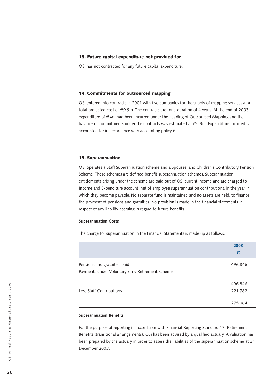#### 13. Future capital expenditure not provided for

OSi has not contracted for any future capital expenditure.

### 14. Commitments for outsourced mapping

OSi entered into contracts in 2001 with five companies for the supply of mapping services at a total projected cost of €9.9m. The contracts are for a duration of 4 years. At the end of 2003, expenditure of €4m had been incurred under the heading of Outsourced Mapping and the balance of commitments under the contracts was estimated at €5.9m. Expenditure incurred is accounted for in accordance with accounting policy 6.

#### 15. Superannuation

OSi operates a Staff Superannuation scheme and a Spouses' and Children's Contributory Pension Scheme. These schemes are defined benefit superannuation schemes. Superannuation entitlements arising under the scheme are paid out of OSi current income and are charged to Income and Expenditure account, net of employee superannuation contributions, in the year in which they become payable. No separate fund is maintained and no assets are held, to finance the payment of pensions and gratuities. No provision is made in the financial statements in respect of any liability accruing in regard to future benefits.

### **Superannuation Costs**

The charge for superannuation in the Financial Statements is made up as follows:

|                                                                                  | 2003<br>€          |
|----------------------------------------------------------------------------------|--------------------|
| Pensions and gratuities paid<br>Payments under Voluntary Early Retirement Scheme | 496,846            |
| Less Staff Contributions                                                         | 496,846<br>221,782 |
|                                                                                  | 275,064            |

#### **Superannuation Benefits**

For the purpose of reporting in accordance with Financial Reporting Standard 17, Retirement Benefits (transitional arrangements), OSi has been advised by a qualified actuary. A valuation has been prepared by the actuary in order to assess the liabilities of the superannuation scheme at 31 December 2003.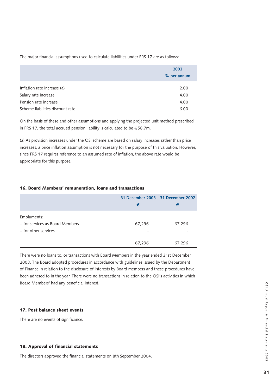The major financial assumptions used to calculate liabilities under FRS 17 are as follows:

|                                  | 2003        |  |
|----------------------------------|-------------|--|
|                                  | % per annum |  |
|                                  |             |  |
| Inflation rate increase (a)      | 2.00        |  |
| Salary rate increase             | 4.00        |  |
| Pension rate increase            | 4.00        |  |
| Scheme liabilities discount rate | 6.00        |  |

On the basis of these and other assumptions and applying the projected unit method prescribed in FRS 17, the total accrued pension liability is calculated to be €58.7m.

(a) As provision increases under the OSi scheme are based on salary increases rather than price increases, a price inflation assumption is not necessary for the purpose of this valuation. However, since FRS 17 requires reference to an assumed rate of inflation, the above rate would be appropriate for this purpose.

### 16. Board Members' remuneration, loans and transactions

|                                 |        | 31 December 2003 31 December 2002 |
|---------------------------------|--------|-----------------------------------|
|                                 | €      | €                                 |
| Emoluments:                     |        |                                   |
| - for services as Board Members | 67,296 | 67,296                            |
| - for other services            |        | $\overline{\phantom{0}}$          |
|                                 | 67,296 | 67,296                            |

There were no loans to, or transactions with Board Members in the year ended 31st December 2003. The Board adopted procedures in accordance with guidelines issued by the Department of Finance in relation to the disclosure of interests by Board members and these procedures have been adhered to in the year. There were no transactions in relation to the OSi's activities in which Board Members' had any beneficial interest.

### 17. Post balance sheet events

There are no events of significance.

### 18. Approval of financial statements

The directors approved the financial statements on 8th September 2004.